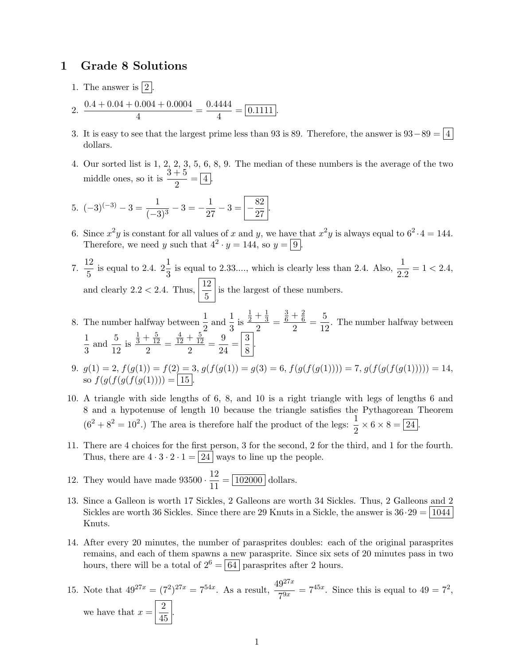## 1 Grade 8 Solutions

- 1. The answer is  $|2|$ .
- 2.  $\frac{0.4 + 0.04 + 0.004 + 0.0004}{4}$  $\frac{0.004 + 0.0004}{4} = \frac{0.4444}{4}$  $\frac{1}{4}$  =  $\boxed{0.1111}$ .
- 3. It is easy to see that the largest prime less than 93 is 89. Therefore, the answer is  $93-89 = 4$ dollars.
- 4. Our sorted list is 1, 2, 2, 3, 5, 6, 8, 9. The median of these numbers is the average of the two middle ones, so it is  $\frac{3+5}{2} = 4$ .

5. 
$$
(-3)^{(-3)} - 3 = \frac{1}{(-3)^3} - 3 = -\frac{1}{27} - 3 = \boxed{-\frac{82}{27}}
$$

6. Since  $x^2y$  is constant for all values of x and y, we have that  $x^2y$  is always equal to  $6^2 \cdot 4 = 144$ . Therefore, we need y such that  $4^2 \cdot y = 144$ , so  $y = 9$ .

.

- 7.  $\frac{12}{5}$  $\frac{12}{5}$  is equal to 2.4.  $2\frac{1}{3}$  is equal to 2.33...., which is clearly less than 2.4. Also,  $\frac{1}{2.2} = 1 < 2.4$ , and clearly 2.2 < 2.4. Thus,  $\left|\frac{12}{5}\right|$  is the largest of these numbers.
- 8. The number halfway between  $\frac{1}{2}$  and  $\frac{1}{3}$  is  $rac{1}{2} + \frac{1}{3}$ 3  $\frac{3}{2}$  =  $\frac{3}{6} + \frac{2}{6}$ 6  $\frac{+\frac{2}{6}}{2} = \frac{5}{12}$  $\frac{3}{12}$ . The number halfway between 1  $\frac{1}{3}$  and  $\frac{5}{12}$  is  $rac{1}{3} + \frac{5}{12}$ 12  $\frac{12}{2}$  =  $\frac{4}{12} + \frac{5}{12}$ 12  $\frac{+\frac{5}{12}}{2} = \frac{9}{24}$  $\frac{9}{24} = \left|\frac{3}{8}\right|$  $\frac{8}{8}$ .
- 9.  $g(1) = 2, f(g(1)) = f(2) = 3, g(f(g(1)) = g(3) = 6, f(g(f(g(1)))) = 7, g(f(g(f(g(1)))) = 14,$ so  $f(g(f(g(f(g(1)))) = | 15 |.$
- 10. A triangle with side lengths of 6, 8, and 10 is a right triangle with legs of lengths 6 and 8 and a hypotenuse of length 10 because the triangle satisfies the Pythagorean Theorem  $(6^2 + 8^2 = 10^2)$  The area is therefore half the product of the legs:  $\frac{1}{2} \times 6 \times 8 = 24$ .
- 11. There are 4 choices for the first person, 3 for the second, 2 for the third, and 1 for the fourth. Thus, there are  $4 \cdot 3 \cdot 2 \cdot 1 = |24|$  ways to line up the people.
- 12. They would have made  $93500 \cdot \frac{12}{11}$  $\frac{12}{11} = \boxed{102000}$  dollars.
- 13. Since a Galleon is worth 17 Sickles, 2 Galleons are worth 34 Sickles. Thus, 2 Galleons and 2 Sickles are worth 36 Sickles. Since there are 29 Knuts in a Sickle, the answer is  $36 \cdot 29 = \boxed{1044}$ Knuts.
- 14. After every 20 minutes, the number of parasprites doubles: each of the original parasprites remains, and each of them spawns a new parasprite. Since six sets of 20 minutes pass in two hours, there will be a total of  $2^6 = |64|$  parasprites after 2 hours.
- 15. Note that  $49^{27x} = (7^2)^{27x} = 7^{54x}$ . As a result,  $\frac{49^{27x}}{7^{9x}} = 7^{45x}$ . Since this is equal to  $49 = 7^2$ , we have that  $x = \frac{2}{15}$  $rac{2}{45}$ .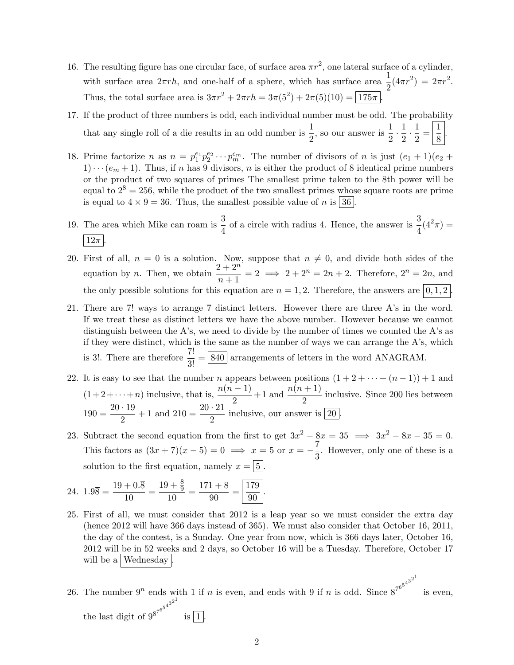- 16. The resulting figure has one circular face, of surface area  $\pi r^2$ , one lateral surface of a cylinder, with surface area  $2\pi rh$ , and one-half of a sphere, which has surface area  $\frac{1}{2}(4\pi r^2) = 2\pi r^2$ . Thus, the total surface area is  $3\pi r^2 + 2\pi rh = 3\pi (5^2) + 2\pi (5)(10) = 175\pi$ .
- 17. If the product of three numbers is odd, each individual number must be odd. The probability that any single roll of a die results in an odd number is  $\frac{1}{2}$ , so our answer is  $\frac{1}{2}$  $\frac{1}{2} \cdot \frac{1}{2}$  $\frac{1}{2} \cdot \frac{1}{2}$  $\frac{1}{2} = \frac{1}{8}$  $\frac{1}{8}$ .
- 18. Prime factorize n as  $n = p_1^{e_1} p_2^{e_2} \cdots p_m^{e_m}$ . The number of divisors of n is just  $(e_1 + 1)(e_2 +$  $1)\cdots(e_m+1)$ . Thus, if n has 9 divisors, n is either the product of 8 identical prime numbers or the product of two squares of primes The smallest prime taken to the 8th power will be equal to  $2^8 = 256$ , while the product of the two smallest primes whose square roots are prime is equal to  $4 \times 9 = 36$ . Thus, the smallest possible value of n is  $\boxed{36}$ .
- 19. The area which Mike can roam is  $\frac{3}{4}$  of a circle with radius 4. Hence, the answer is  $\frac{3}{4}(4^2\pi)$  =  $\left|12\pi\right|$
- 20. First of all,  $n = 0$  is a solution. Now, suppose that  $n \neq 0$ , and divide both sides of the equation by *n*. Then, we obtain  $\frac{2+2^n}{n+1} = 2 \implies 2+2^n = 2n+2$ . Therefore,  $2^n = 2n$ , and the only possible solutions for this equation are  $n = 1, 2$ . Therefore, the answers are  $(0, 1, 2)$ .
- 21. There are 7! ways to arrange 7 distinct letters. However there are three A's in the word. If we treat these as distinct letters we have the above number. However because we cannot distinguish between the A's, we need to divide by the number of times we counted the A's as if they were distinct, which is the same as the number of ways we can arrange the A's, which is 3!. There are therefore  $\frac{7!}{3!} = \boxed{840}$  arrangements of letters in the word ANAGRAM.
- 22. It is easy to see that the number n appears between positions  $(1 + 2 + \cdots + (n-1)) + 1$  and  $(1+2+\cdots+n)$  inclusive, that is,  $\frac{n(n-1)}{2}+1$  and  $\frac{n(n+1)}{2}$  inclusive. Since 200 lies between  $190 = \frac{20 \cdot 19}{8}$  $\frac{19}{2} + 1$  and  $210 = \frac{20 \cdot 21}{2}$  inclusive, our answer is  $\boxed{20}$ .
- 23. Subtract the second equation from the first to get  $3x^2 8x = 35 \implies 3x^2 8x 35 = 0$ . This factors as  $(3x + 7)(x - 5) = 0 \implies x = 5$  or  $x = -\frac{7}{8}$  $\frac{1}{3}$ . However, only one of these is a solution to the first equation, namely  $x = |5|$ .

24. 
$$
1.9\overline{8} = \frac{19 + 0.\overline{8}}{10} = \frac{19 + \frac{8}{9}}{10} = \frac{171 + 8}{90} = \boxed{\frac{179}{90}}
$$
.

- 25. First of all, we must consider that 2012 is a leap year so we must consider the extra day (hence 2012 will have 366 days instead of 365). We must also consider that October 16, 2011, the day of the contest, is a Sunday. One year from now, which is 366 days later, October 16, 2012 will be in 52 weeks and 2 days, so October 16 will be a Tuesday. Therefore, October 17 will be a *Wednesday*
- 26. The number  $9^n$  ends with 1 if n is even, and ends with 9 if n is odd. Since  $8^{7^{6^{5^{4^{3^{2}}}}}}$ is even, the last digit of  $9^{8^{7^{6^5}}}$  $4^{3^{2^{1}}}$ is  $|1|$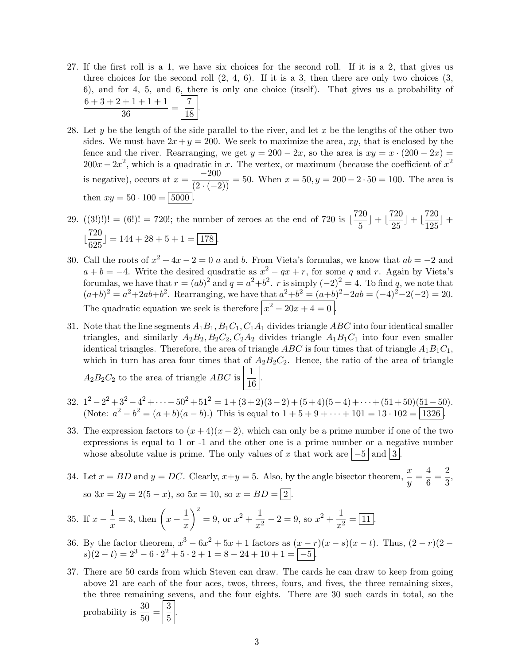- 27. If the first roll is a 1, we have six choices for the second roll. If it is a 2, that gives us three choices for the second roll  $(2, 4, 6)$ . If it is a 3, then there are only two choices  $(3, 4)$ 6), and for 4, 5, and 6, there is only one choice (itself). That gives us a probability of  $6+3+2+1+1+1$  $\frac{+1+1+1}{36} = \frac{7}{18}$  $\frac{1}{18}$ .
- 28. Let y be the length of the side parallel to the river, and let x be the lengths of the other two sides. We must have  $2x + y = 200$ . We seek to maximize the area, xy, that is enclosed by the fence and the river. Rearranging, we get  $y = 200 - 2x$ , so the area is  $xy = x \cdot (200 - 2x) =$  $200x - 2x^2$ , which is a quadratic in x. The vertex, or maximum (because the coefficient of  $x^2$ is negative), occurs at  $x = \frac{-200}{(2 \cdot (-2))} = 50$ . When  $x = 50$ ,  $y = 200 - 2 \cdot 50 = 100$ . The area is then  $xy = 50 \cdot 100 = \sqrt{5000}$
- 29.  $((3!)!) = (6!) = 720!$ ; the number of zeroes at the end of 720 is  $\frac{720}{5}$  $\left(\frac{20}{5}\right) + \left(\frac{720}{25}\right)$  $\left(\frac{720}{25}\right) + \left(\frac{720}{125}\right)$  $\frac{126}{125}$  +  $\frac{720}{205}$  $\frac{128}{625}$ ] = 144 + 28 + 5 + 1 =  $\boxed{178}$ .
- 30. Call the roots of  $x^2 + 4x 2 = 0$  a and b. From Vieta's formulas, we know that  $ab = -2$  and  $a + b = -4$ . Write the desired quadratic as  $x^2 - qx + r$ , for some q and r. Again by Vieta's forumlas, we have that  $r = (ab)^2$  and  $q = a^2+b^2$ . r is simply  $(-2)^2 = 4$ . To find q, we note that  $(a+b)^2 = a^2+2ab+b^2$ . Rearranging, we have that  $a^2+b^2 = (a+b)^2-2ab = (-4)^2-2(-2) = 20$ . The quadratic equation we seek is therefore  $\left| x^2 - 20x + 4 = 0 \right|$ .
- 31. Note that the line segments  $A_1B_1, B_1C_1, C_1A_1$  divides triangle ABC into four identical smaller triangles, and similarly  $A_2B_2, B_2C_2, C_2A_2$  divides triangle  $A_1B_1C_1$  into four even smaller identical triangles. Therefore, the area of triangle ABC is four times that of triangle  $A_1B_1C_1$ , which in turn has area four times that of  $A_2B_2C_2$ . Hence, the ratio of the area of triangle  $A_2B_2C_2$  to the area of triangle ABC is  $\frac{1}{16}$  $\frac{1}{16}$ .
- 32.  $1^2 2^2 + 3^2 4^2 + \cdots 50^2 + 51^2 = 1 + (3+2)(3-2) + (5+4)(5-4) + \cdots + (51+50)(51-50)$ . (Note:  $a^2 - b^2 = (a + b)(a - b)$ .) This is equal to  $1 + 5 + 9 + \cdots + 101 = 13 \cdot 102 = \boxed{1326}$ .
- 33. The expression factors to  $(x+4)(x-2)$ , which can only be a prime number if one of the two expressions is equal to 1 or -1 and the other one is a prime number or a negative number whose absolute value is prime. The only values of x that work are  $\vert -5 \vert$  and  $\vert 3 \vert$ .
- 34. Let  $x = BD$  and  $y = DC$ . Clearly,  $x+y = 5$ . Also, by the angle bisector theorem,  $\frac{x}{y} = \frac{4}{6}$  $\frac{4}{6} = \frac{2}{3}$  $\frac{1}{3}$ so  $3x = 2y = 2(5 - x)$ , so  $5x = 10$ , so  $x = BD = \boxed{2}$ .

35. If 
$$
x - \frac{1}{x} = 3
$$
, then  $\left(x - \frac{1}{x}\right)^2 = 9$ , or  $x^2 + \frac{1}{x^2} - 2 = 9$ , so  $x^2 + \frac{1}{x^2} = \boxed{11}$ .

- 36. By the factor theorem,  $x^3 6x^2 + 5x + 1$  factors as  $(x r)(x s)(x t)$ . Thus,  $(2 r)(2$  $s(2-t) = 2^3 - 6 \cdot 2^2 + 5 \cdot 2 + 1 = 8 - 24 + 10 + 1 = \boxed{-5}.$
- 37. There are 50 cards from which Steven can draw. The cards he can draw to keep from going above 21 are each of the four aces, twos, threes, fours, and fives, the three remaining sixes, the three remaining sevens, and the four eights. There are 30 such cards in total, so the probability is  $\frac{30}{50} = \left| \frac{3}{5} \right|$  $\frac{6}{5}$ .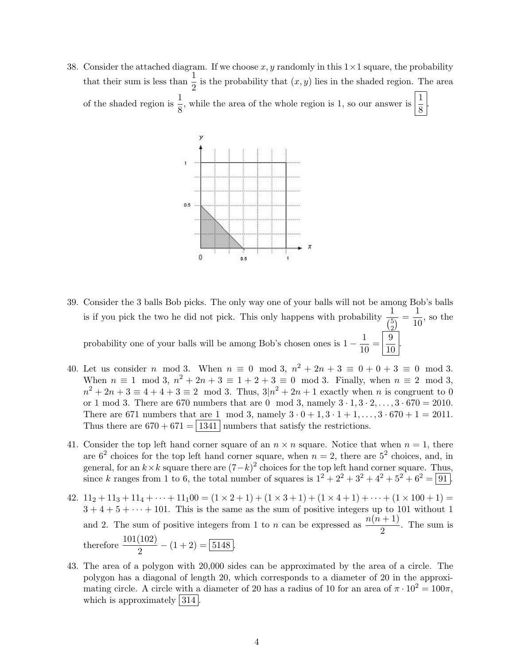38. Consider the attached diagram. If we choose x, y randomly in this  $1 \times 1$  square, the probability that their sum is less than  $\frac{1}{2}$  is the probability that  $(x, y)$  lies in the shaded region. The area of the shaded region is  $\frac{1}{8}$ , while the area of the whole region is 1, so our answer is  $\frac{1}{8}$ .



- 39. Consider the 3 balls Bob picks. The only way one of your balls will not be among Bob's balls is if you pick the two he did not pick. This only happens with probability  $\frac{1}{\binom{5}{2}}$  $\frac{1}{2} = \frac{1}{10}$  $\frac{1}{10}$ , so the probability one of your balls will be among Bob's chosen ones is  $1 - \frac{1}{10}$  $\frac{1}{10} = \frac{9}{10}$  $rac{0}{10}$ .
- 40. Let us consider *n* mod 3. When  $n \equiv 0 \mod 3$ ,  $n^2 + 2n + 3 \equiv 0 + 0 + 3 \equiv 0 \mod 3$ . When  $n \equiv 1 \mod 3$ ,  $n^2 + 2n + 3 \equiv 1 + 2 + 3 \equiv 0 \mod 3$ . Finally, when  $n \equiv 2 \mod 3$ ,  $n^2 + 2n + 3 \equiv 4 + 4 + 3 \equiv 2 \mod 3$ . Thus,  $3(n^2 + 2n + 1)$  exactly when n is congruent to 0 or 1 mod 3. There are 670 numbers that are 0 mod 3, namely  $3 \cdot 1, 3 \cdot 2, ..., 3 \cdot 670 = 2010$ . There are 671 numbers that are 1 mod 3, namely  $3 \cdot 0 + 1, 3 \cdot 1 + 1, ..., 3 \cdot 670 + 1 = 2011$ . Thus there are  $670 + 671 = | 1341 |$  numbers that satisfy the restrictions.
- 41. Consider the top left hand corner square of an  $n \times n$  square. Notice that when  $n = 1$ , there are  $6^2$  choices for the top left hand corner square, when  $n = 2$ , there are  $5^2$  choices, and, in general, for an  $k \times k$  square there are  $(7-k)^2$  choices for the top left hand corner square. Thus, since k ranges from 1 to 6, the total number of squares is  $1^2 + 2^2 + 3^2 + 4^2 + 5^2 + 6^2 = 91$ .
- 42.  $11_2 + 11_3 + 11_4 + \cdots + 11_100 = (1 \times 2 + 1) + (1 \times 3 + 1) + (1 \times 4 + 1) + \cdots + (1 \times 100 + 1) =$  $3 + 4 + 5 + \cdots + 101$ . This is the same as the sum of positive integers up to 101 without 1 and 2. The sum of positive integers from 1 to *n* can be expressed as  $\frac{n(n+1)}{2}$ . The sum is therefore  $\frac{101(102)}{2} - (1+2) = 5148$ .
- 43. The area of a polygon with 20,000 sides can be approximated by the area of a circle. The polygon has a diagonal of length 20, which corresponds to a diameter of 20 in the approximating circle. A circle with a diameter of 20 has a radius of 10 for an area of  $\pi \cdot 10^2 = 100\pi$ , which is approximately  $|314|$ .